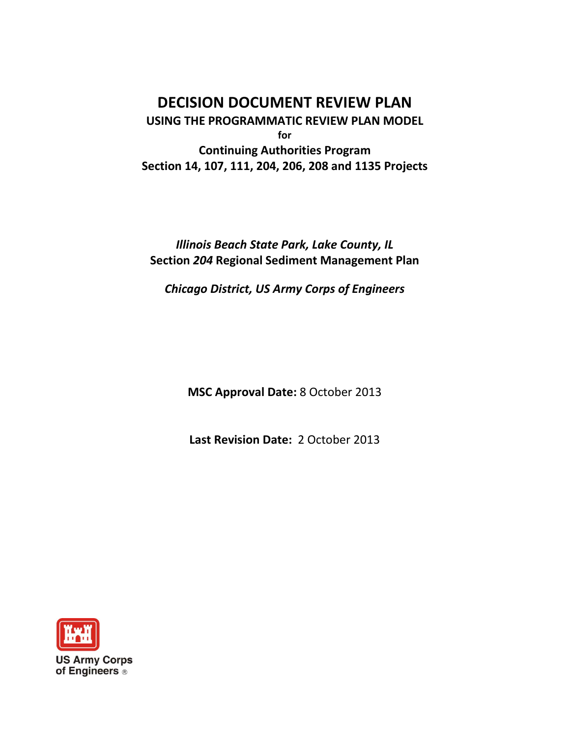**DECISION DOCUMENT REVIEW PLAN USING THE PROGRAMMATIC REVIEW PLAN MODEL for Continuing Authorities Program Section 14, 107, 111, 204, 206, 208 and 1135 Projects**

*Illinois Beach State Park, Lake County, IL* **Section** *204* **Regional Sediment Management Plan**

*Chicago District, US Army Corps of Engineers*

**MSC Approval Date:** 8 October 2013

**Last Revision Date:** 2 October 2013

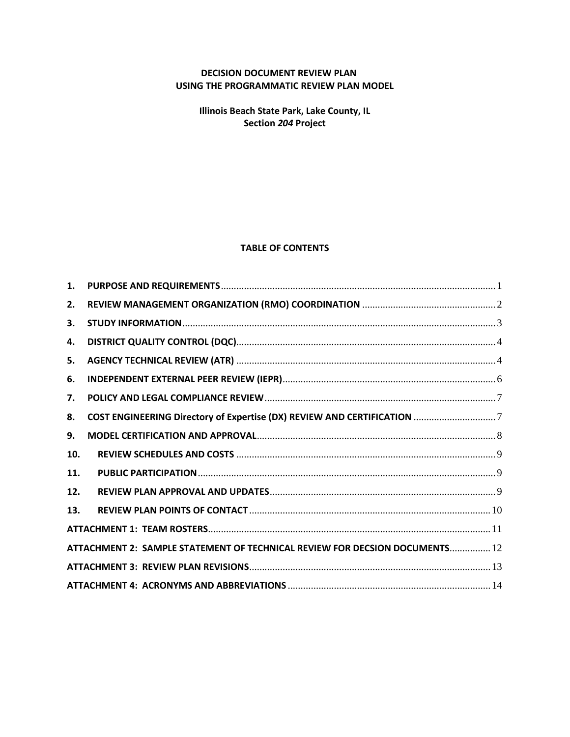## **DECISION DOCUMENT REVIEW PLAN USING THE PROGRAMMATIC REVIEW PLAN MODEL**

**Illinois Beach State Park, Lake County, IL Section** *204* **Project**

### **TABLE OF CONTENTS**

| 1.                                                                          |  |  |  |  |
|-----------------------------------------------------------------------------|--|--|--|--|
| 2.                                                                          |  |  |  |  |
| 3.                                                                          |  |  |  |  |
| 4.                                                                          |  |  |  |  |
| 5.                                                                          |  |  |  |  |
| 6.                                                                          |  |  |  |  |
| 7.                                                                          |  |  |  |  |
| 8.                                                                          |  |  |  |  |
| 9.                                                                          |  |  |  |  |
| 10.                                                                         |  |  |  |  |
| 11.                                                                         |  |  |  |  |
| 12.                                                                         |  |  |  |  |
| 13.                                                                         |  |  |  |  |
|                                                                             |  |  |  |  |
| ATTACHMENT 2: SAMPLE STATEMENT OF TECHNICAL REVIEW FOR DECSION DOCUMENTS 12 |  |  |  |  |
|                                                                             |  |  |  |  |
|                                                                             |  |  |  |  |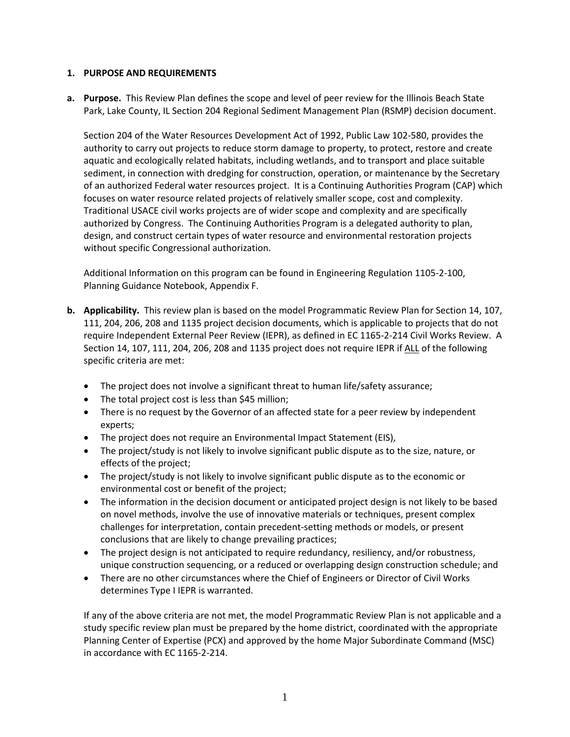### <span id="page-2-0"></span>**1. PURPOSE AND REQUIREMENTS**

**a. Purpose.** This Review Plan defines the scope and level of peer review for the Illinois Beach State Park, Lake County, IL Section 204 Regional Sediment Management Plan (RSMP) decision document.

Section 204 of the Water Resources Development Act of 1992, Public Law 102-580, provides the authority to carry out projects to reduce storm damage to property, to protect, restore and create aquatic and ecologically related habitats, including wetlands, and to transport and place suitable sediment, in connection with dredging for construction, operation, or maintenance by the Secretary of an authorized Federal water resources project. It is a Continuing Authorities Program (CAP) which focuses on water resource related projects of relatively smaller scope, cost and complexity. Traditional USACE civil works projects are of wider scope and complexity and are specifically authorized by Congress. The Continuing Authorities Program is a delegated authority to plan, design, and construct certain types of water resource and environmental restoration projects without specific Congressional authorization.

Additional Information on this program can be found in Engineering Regulation 1105-2-100, Planning Guidance Notebook, Appendix F.

- **b. Applicability.** This review plan is based on the model Programmatic Review Plan for Section 14, 107, 111, 204, 206, 208 and 1135 project decision documents, which is applicable to projects that do not require Independent External Peer Review (IEPR), as defined in EC 1165-2-214 Civil Works Review. A Section 14, 107, 111, 204, 206, 208 and 1135 project does not require IEPR if ALL of the following specific criteria are met:
	- The project does not involve a significant threat to human life/safety assurance;
	- The total project cost is less than \$45 million;
	- There is no request by the Governor of an affected state for a peer review by independent experts;
	- The project does not require an Environmental Impact Statement (EIS),
	- The project/study is not likely to involve significant public dispute as to the size, nature, or effects of the project;
	- The project/study is not likely to involve significant public dispute as to the economic or environmental cost or benefit of the project;
	- The information in the decision document or anticipated project design is not likely to be based on novel methods, involve the use of innovative materials or techniques, present complex challenges for interpretation, contain precedent-setting methods or models, or present conclusions that are likely to change prevailing practices;
	- The project design is not anticipated to require redundancy, resiliency, and/or robustness, unique construction sequencing, or a reduced or overlapping design construction schedule; and
	- There are no other circumstances where the Chief of Engineers or Director of Civil Works determines Type I IEPR is warranted.

If any of the above criteria are not met, the model Programmatic Review Plan is not applicable and a study specific review plan must be prepared by the home district, coordinated with the appropriate Planning Center of Expertise (PCX) and approved by the home Major Subordinate Command (MSC) in accordance with EC 1165-2-214.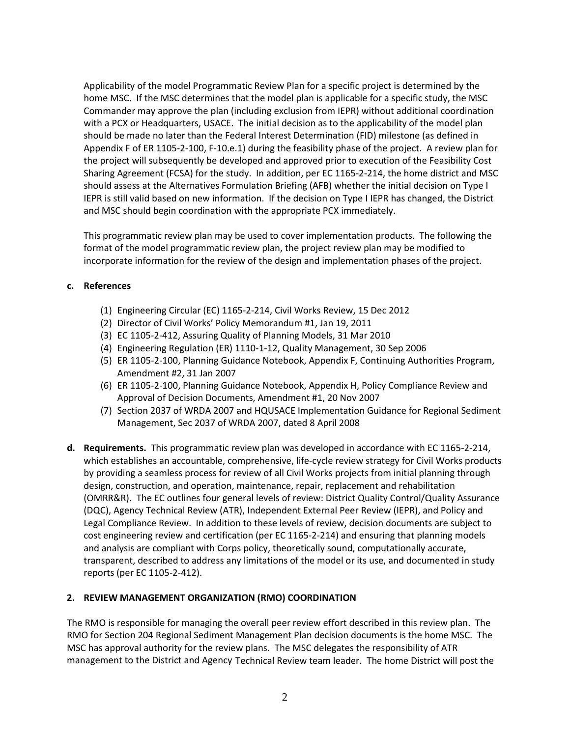Applicability of the model Programmatic Review Plan for a specific project is determined by the home MSC. If the MSC determines that the model plan is applicable for a specific study, the MSC Commander may approve the plan (including exclusion from IEPR) without additional coordination with a PCX or Headquarters, USACE. The initial decision as to the applicability of the model plan should be made no later than the Federal Interest Determination (FID) milestone (as defined in Appendix F of ER 1105-2-100, F-10.e.1) during the feasibility phase of the project. A review plan for the project will subsequently be developed and approved prior to execution of the Feasibility Cost Sharing Agreement (FCSA) for the study. In addition, per EC 1165-2-214, the home district and MSC should assess at the Alternatives Formulation Briefing (AFB) whether the initial decision on Type I IEPR is still valid based on new information. If the decision on Type I IEPR has changed, the District and MSC should begin coordination with the appropriate PCX immediately.

This programmatic review plan may be used to cover implementation products. The following the format of the model programmatic review plan, the project review plan may be modified to incorporate information for the review of the design and implementation phases of the project.

### **c. References**

- (1) Engineering Circular (EC) 1165-2-214, Civil Works Review, 15 Dec 2012
- (2) Director of Civil Works' Policy Memorandum #1, Jan 19, 2011
- (3) EC 1105-2-412, Assuring Quality of Planning Models, 31 Mar 2010
- (4) Engineering Regulation (ER) 1110-1-12, Quality Management, 30 Sep 2006
- (5) ER 1105-2-100, Planning Guidance Notebook, Appendix F, Continuing Authorities Program, Amendment #2, 31 Jan 2007
- (6) ER 1105-2-100, Planning Guidance Notebook, Appendix H, Policy Compliance Review and Approval of Decision Documents, Amendment #1, 20 Nov 2007
- (7) Section 2037 of WRDA 2007 and HQUSACE Implementation Guidance for Regional Sediment Management, Sec 2037 of WRDA 2007, dated 8 April 2008
- **d. Requirements.** This programmatic review plan was developed in accordance with EC 1165-2-214, which establishes an accountable, comprehensive, life-cycle review strategy for Civil Works products by providing a seamless process for review of all Civil Works projects from initial planning through design, construction, and operation, maintenance, repair, replacement and rehabilitation (OMRR&R). The EC outlines four general levels of review: District Quality Control/Quality Assurance (DQC), Agency Technical Review (ATR), Independent External Peer Review (IEPR), and Policy and Legal Compliance Review. In addition to these levels of review, decision documents are subject to cost engineering review and certification (per EC 1165-2-214) and ensuring that planning models and analysis are compliant with Corps policy, theoretically sound, computationally accurate, transparent, described to address any limitations of the model or its use, and documented in study reports (per EC 1105-2-412).

## <span id="page-3-0"></span>**2. REVIEW MANAGEMENT ORGANIZATION (RMO) COORDINATION**

The RMO is responsible for managing the overall peer review effort described in this review plan. The RMO for Section 204 Regional Sediment Management Plan decision documents is the home MSC. The MSC has approval authority for the review plans. The MSC delegates the responsibility of ATR management to the District and Agency Technical Review team leader. The home District will post the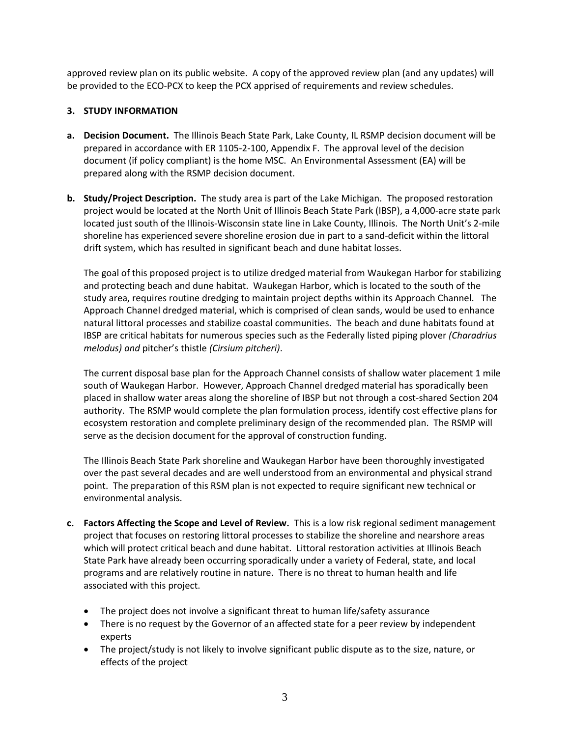approved review plan on its public website. A copy of the approved review plan (and any updates) will be provided to the ECO-PCX to keep the PCX apprised of requirements and review schedules.

### <span id="page-4-0"></span>**3. STUDY INFORMATION**

- **a. Decision Document.** The Illinois Beach State Park, Lake County, IL RSMP decision document will be prepared in accordance with ER 1105-2-100, Appendix F. The approval level of the decision document (if policy compliant) is the home MSC. An Environmental Assessment (EA) will be prepared along with the RSMP decision document.
- **b. Study/Project Description.** The study area is part of the Lake Michigan. The proposed restoration project would be located at the North Unit of Illinois Beach State Park (IBSP), a 4,000-acre state park located just south of the Illinois-Wisconsin state line in Lake County, Illinois. The North Unit's 2-mile shoreline has experienced severe shoreline erosion due in part to a sand-deficit within the littoral drift system, which has resulted in significant beach and dune habitat losses.

The goal of this proposed project is to utilize dredged material from Waukegan Harbor for stabilizing and protecting beach and dune habitat. Waukegan Harbor, which is located to the south of the study area, requires routine dredging to maintain project depths within its Approach Channel. The Approach Channel dredged material, which is comprised of clean sands, would be used to enhance natural littoral processes and stabilize coastal communities. The beach and dune habitats found at IBSP are critical habitats for numerous species such as the Federally listed piping plover *(Charadrius melodus) and* pitcher's thistle *(Cirsium pitcheri)*.

The current disposal base plan for the Approach Channel consists of shallow water placement 1 mile south of Waukegan Harbor. However, Approach Channel dredged material has sporadically been placed in shallow water areas along the shoreline of IBSP but not through a cost-shared Section 204 authority. The RSMP would complete the plan formulation process, identify cost effective plans for ecosystem restoration and complete preliminary design of the recommended plan. The RSMP will serve as the decision document for the approval of construction funding.

The Illinois Beach State Park shoreline and Waukegan Harbor have been thoroughly investigated over the past several decades and are well understood from an environmental and physical strand point. The preparation of this RSM plan is not expected to require significant new technical or environmental analysis.

- **c. Factors Affecting the Scope and Level of Review.** This is a low risk regional sediment management project that focuses on restoring littoral processes to stabilize the shoreline and nearshore areas which will protect critical beach and dune habitat. Littoral restoration activities at Illinois Beach State Park have already been occurring sporadically under a variety of Federal, state, and local programs and are relatively routine in nature. There is no threat to human health and life associated with this project.
	- The project does not involve a significant threat to human life/safety assurance
	- There is no request by the Governor of an affected state for a peer review by independent experts
	- The project/study is not likely to involve significant public dispute as to the size, nature, or effects of the project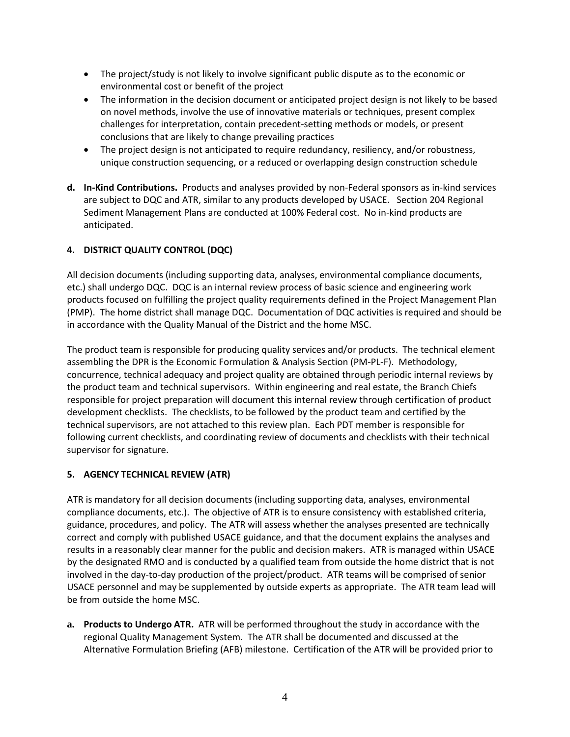- The project/study is not likely to involve significant public dispute as to the economic or environmental cost or benefit of the project
- The information in the decision document or anticipated project design is not likely to be based on novel methods, involve the use of innovative materials or techniques, present complex challenges for interpretation, contain precedent-setting methods or models, or present conclusions that are likely to change prevailing practices
- The project design is not anticipated to require redundancy, resiliency, and/or robustness, unique construction sequencing, or a reduced or overlapping design construction schedule
- **d. In-Kind Contributions.** Products and analyses provided by non-Federal sponsors as in-kind services are subject to DQC and ATR, similar to any products developed by USACE. Section 204 Regional Sediment Management Plans are conducted at 100% Federal cost. No in-kind products are anticipated.

## <span id="page-5-0"></span>**4. DISTRICT QUALITY CONTROL (DQC)**

All decision documents (including supporting data, analyses, environmental compliance documents, etc.) shall undergo DQC. DQC is an internal review process of basic science and engineering work products focused on fulfilling the project quality requirements defined in the Project Management Plan (PMP). The home district shall manage DQC. Documentation of DQC activities is required and should be in accordance with the Quality Manual of the District and the home MSC.

The product team is responsible for producing quality services and/or products. The technical element assembling the DPR is the Economic Formulation & Analysis Section (PM-PL-F). Methodology, concurrence, technical adequacy and project quality are obtained through periodic internal reviews by the product team and technical supervisors. Within engineering and real estate, the Branch Chiefs responsible for project preparation will document this internal review through certification of product development checklists. The checklists, to be followed by the product team and certified by the technical supervisors, are not attached to this review plan. Each PDT member is responsible for following current checklists, and coordinating review of documents and checklists with their technical supervisor for signature.

## <span id="page-5-1"></span>**5. AGENCY TECHNICAL REVIEW (ATR)**

ATR is mandatory for all decision documents (including supporting data, analyses, environmental compliance documents, etc.). The objective of ATR is to ensure consistency with established criteria, guidance, procedures, and policy. The ATR will assess whether the analyses presented are technically correct and comply with published USACE guidance, and that the document explains the analyses and results in a reasonably clear manner for the public and decision makers. ATR is managed within USACE by the designated RMO and is conducted by a qualified team from outside the home district that is not involved in the day-to-day production of the project/product. ATR teams will be comprised of senior USACE personnel and may be supplemented by outside experts as appropriate. The ATR team lead will be from outside the home MSC.

**a. Products to Undergo ATR.** ATR will be performed throughout the study in accordance with the regional Quality Management System. The ATR shall be documented and discussed at the Alternative Formulation Briefing (AFB) milestone. Certification of the ATR will be provided prior to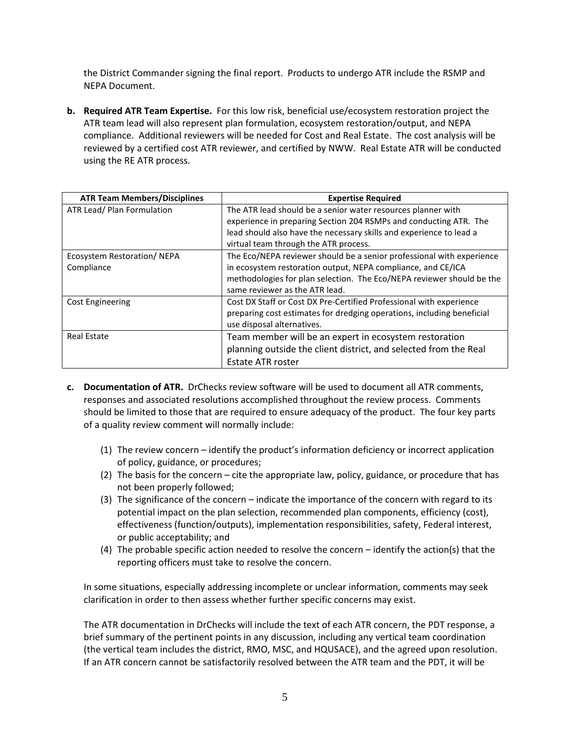the District Commander signing the final report. Products to undergo ATR include the RSMP and NEPA Document.

**b. Required ATR Team Expertise.** For this low risk, beneficial use/ecosystem restoration project the ATR team lead will also represent plan formulation, ecosystem restoration/output, and NEPA compliance. Additional reviewers will be needed for Cost and Real Estate. The cost analysis will be reviewed by a certified cost ATR reviewer, and certified by NWW. Real Estate ATR will be conducted using the RE ATR process.

| <b>ATR Team Members/Disciplines</b> | <b>Expertise Required</b>                                              |
|-------------------------------------|------------------------------------------------------------------------|
| ATR Lead/ Plan Formulation          | The ATR lead should be a senior water resources planner with           |
|                                     | experience in preparing Section 204 RSMPs and conducting ATR. The      |
|                                     | lead should also have the necessary skills and experience to lead a    |
|                                     | virtual team through the ATR process.                                  |
| Ecosystem Restoration/NEPA          | The Eco/NEPA reviewer should be a senior professional with experience  |
| Compliance                          | in ecosystem restoration output, NEPA compliance, and CE/ICA           |
|                                     | methodologies for plan selection. The Eco/NEPA reviewer should be the  |
|                                     | same reviewer as the ATR lead.                                         |
| <b>Cost Engineering</b>             | Cost DX Staff or Cost DX Pre-Certified Professional with experience    |
|                                     | preparing cost estimates for dredging operations, including beneficial |
|                                     | use disposal alternatives.                                             |
| <b>Real Estate</b>                  | Team member will be an expert in ecosystem restoration                 |
|                                     | planning outside the client district, and selected from the Real       |
|                                     | Estate ATR roster                                                      |

- **c. Documentation of ATR.** DrChecks review software will be used to document all ATR comments, responses and associated resolutions accomplished throughout the review process. Comments should be limited to those that are required to ensure adequacy of the product. The four key parts of a quality review comment will normally include:
	- (1) The review concern identify the product's information deficiency or incorrect application of policy, guidance, or procedures;
	- (2) The basis for the concern cite the appropriate law, policy, guidance, or procedure that has not been properly followed;
	- (3) The significance of the concern indicate the importance of the concern with regard to its potential impact on the plan selection, recommended plan components, efficiency (cost), effectiveness (function/outputs), implementation responsibilities, safety, Federal interest, or public acceptability; and
	- (4) The probable specific action needed to resolve the concern identify the action(s) that the reporting officers must take to resolve the concern.

In some situations, especially addressing incomplete or unclear information, comments may seek clarification in order to then assess whether further specific concerns may exist.

The ATR documentation in DrChecks will include the text of each ATR concern, the PDT response, a brief summary of the pertinent points in any discussion, including any vertical team coordination (the vertical team includes the district, RMO, MSC, and HQUSACE), and the agreed upon resolution. If an ATR concern cannot be satisfactorily resolved between the ATR team and the PDT, it will be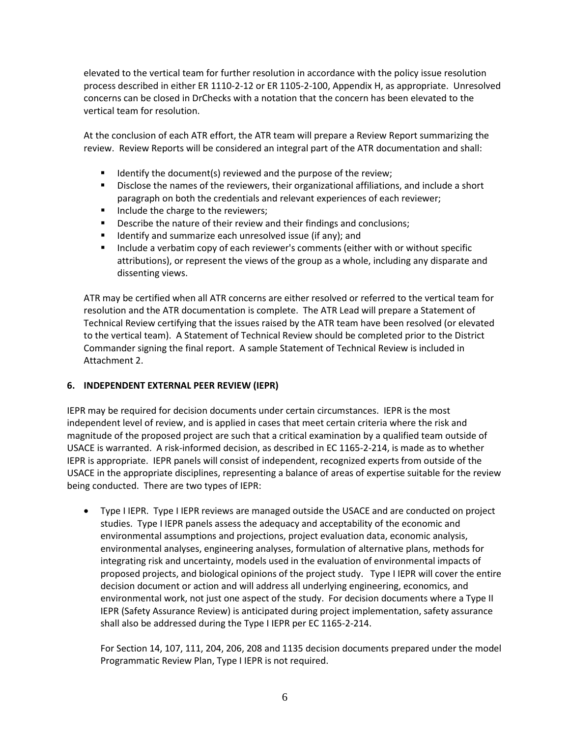elevated to the vertical team for further resolution in accordance with the policy issue resolution process described in either ER 1110-2-12 or ER 1105-2-100, Appendix H, as appropriate. Unresolved concerns can be closed in DrChecks with a notation that the concern has been elevated to the vertical team for resolution.

At the conclusion of each ATR effort, the ATR team will prepare a Review Report summarizing the review. Review Reports will be considered an integral part of the ATR documentation and shall:

- **If I**dentify the document(s) reviewed and the purpose of the review;
- Disclose the names of the reviewers, their organizational affiliations, and include a short paragraph on both the credentials and relevant experiences of each reviewer;
- Include the charge to the reviewers;
- **Describe the nature of their review and their findings and conclusions;**
- **If** Identify and summarize each unresolved issue (if any); and
- Include a verbatim copy of each reviewer's comments (either with or without specific attributions), or represent the views of the group as a whole, including any disparate and dissenting views.

ATR may be certified when all ATR concerns are either resolved or referred to the vertical team for resolution and the ATR documentation is complete. The ATR Lead will prepare a Statement of Technical Review certifying that the issues raised by the ATR team have been resolved (or elevated to the vertical team). A Statement of Technical Review should be completed prior to the District Commander signing the final report. A sample Statement of Technical Review is included in Attachment 2.

### <span id="page-7-0"></span>**6. INDEPENDENT EXTERNAL PEER REVIEW (IEPR)**

IEPR may be required for decision documents under certain circumstances. IEPR is the most independent level of review, and is applied in cases that meet certain criteria where the risk and magnitude of the proposed project are such that a critical examination by a qualified team outside of USACE is warranted. A risk-informed decision, as described in EC 1165-2-214, is made as to whether IEPR is appropriate. IEPR panels will consist of independent, recognized experts from outside of the USACE in the appropriate disciplines, representing a balance of areas of expertise suitable for the review being conducted. There are two types of IEPR:

• Type I IEPR. Type I IEPR reviews are managed outside the USACE and are conducted on project studies. Type I IEPR panels assess the adequacy and acceptability of the economic and environmental assumptions and projections, project evaluation data, economic analysis, environmental analyses, engineering analyses, formulation of alternative plans, methods for integrating risk and uncertainty, models used in the evaluation of environmental impacts of proposed projects, and biological opinions of the project study. Type I IEPR will cover the entire decision document or action and will address all underlying engineering, economics, and environmental work, not just one aspect of the study. For decision documents where a Type II IEPR (Safety Assurance Review) is anticipated during project implementation, safety assurance shall also be addressed during the Type I IEPR per EC 1165-2-214.

For Section 14, 107, 111, 204, 206, 208 and 1135 decision documents prepared under the model Programmatic Review Plan, Type I IEPR is not required.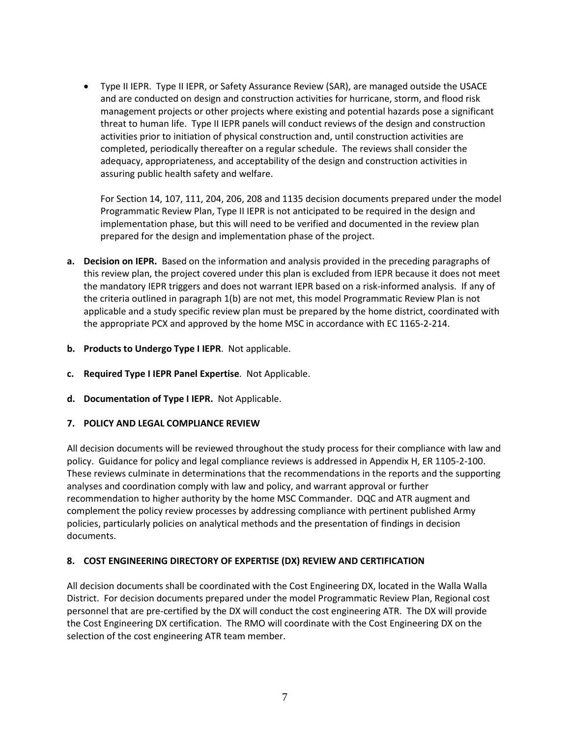• Type II IEPR. Type II IEPR, or Safety Assurance Review (SAR), are managed outside the USACE and are conducted on design and construction activities for hurricane, storm, and flood risk management projects or other projects where existing and potential hazards pose a significant threat to human life. Type II IEPR panels will conduct reviews of the design and construction activities prior to initiation of physical construction and, until construction activities are completed, periodically thereafter on a regular schedule. The reviews shall consider the adequacy, appropriateness, and acceptability of the design and construction activities in assuring public health safety and welfare.

For Section 14, 107, 111, 204, 206, 208 and 1135 decision documents prepared under the model Programmatic Review Plan, Type II IEPR is not anticipated to be required in the design and implementation phase, but this will need to be verified and documented in the review plan prepared for the design and implementation phase of the project.

- **a. Decision on IEPR.** Based on the information and analysis provided in the preceding paragraphs of this review plan, the project covered under this plan is excluded from IEPR because it does not meet the mandatory IEPR triggers and does not warrant IEPR based on a risk-informed analysis. If any of the criteria outlined in paragraph 1(b) are not met, this model Programmatic Review Plan is not applicable and a study specific review plan must be prepared by the home district, coordinated with the appropriate PCX and approved by the home MSC in accordance with EC 1165-2-214.
- **b. Products to Undergo Type I IEPR**. Not applicable.
- **c. Required Type I IEPR Panel Expertise**. Not Applicable.
- **d. Documentation of Type I IEPR.** Not Applicable.

### <span id="page-8-0"></span>**7. POLICY AND LEGAL COMPLIANCE REVIEW**

All decision documents will be reviewed throughout the study process for their compliance with law and policy. Guidance for policy and legal compliance reviews is addressed in Appendix H, ER 1105-2-100. These reviews culminate in determinations that the recommendations in the reports and the supporting analyses and coordination comply with law and policy, and warrant approval or further recommendation to higher authority by the home MSC Commander. DQC and ATR augment and complement the policy review processes by addressing compliance with pertinent published Army policies, particularly policies on analytical methods and the presentation of findings in decision documents.

## <span id="page-8-1"></span>**8. COST ENGINEERING DIRECTORY OF EXPERTISE (DX) REVIEW AND CERTIFICATION**

All decision documents shall be coordinated with the Cost Engineering DX, located in the Walla Walla District. For decision documents prepared under the model Programmatic Review Plan, Regional cost personnel that are pre-certified by the DX will conduct the cost engineering ATR. The DX will provide the Cost Engineering DX certification. The RMO will coordinate with the Cost Engineering DX on the selection of the cost engineering ATR team member.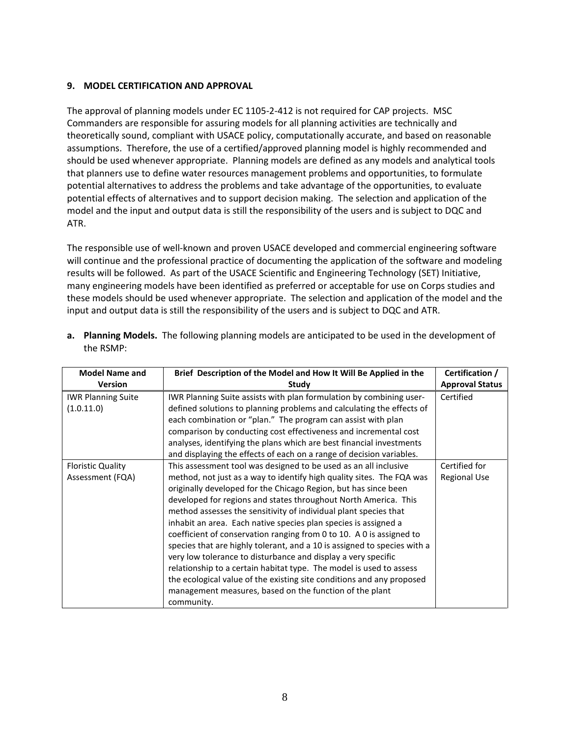### <span id="page-9-0"></span>**9. MODEL CERTIFICATION AND APPROVAL**

The approval of planning models under EC 1105-2-412 is not required for CAP projects. MSC Commanders are responsible for assuring models for all planning activities are technically and theoretically sound, compliant with USACE policy, computationally accurate, and based on reasonable assumptions. Therefore, the use of a certified/approved planning model is highly recommended and should be used whenever appropriate. Planning models are defined as any models and analytical tools that planners use to define water resources management problems and opportunities, to formulate potential alternatives to address the problems and take advantage of the opportunities, to evaluate potential effects of alternatives and to support decision making. The selection and application of the model and the input and output data is still the responsibility of the users and is subject to DQC and ATR.

The responsible use of well-known and proven USACE developed and commercial engineering software will continue and the professional practice of documenting the application of the software and modeling results will be followed. As part of the USACE Scientific and Engineering Technology (SET) Initiative, many engineering models have been identified as preferred or acceptable for use on Corps studies and these models should be used whenever appropriate. The selection and application of the model and the input and output data is still the responsibility of the users and is subject to DQC and ATR.

| <b>Model Name and</b><br><b>Version</b>      | Brief Description of the Model and How It Will Be Applied in the<br>Study                                                                                                                                                                                                                                                                                                                                                                                                                                                                                                                                                                                                                                                                                                                                                                                            | Certification /<br><b>Approval Status</b> |
|----------------------------------------------|----------------------------------------------------------------------------------------------------------------------------------------------------------------------------------------------------------------------------------------------------------------------------------------------------------------------------------------------------------------------------------------------------------------------------------------------------------------------------------------------------------------------------------------------------------------------------------------------------------------------------------------------------------------------------------------------------------------------------------------------------------------------------------------------------------------------------------------------------------------------|-------------------------------------------|
| <b>IWR Planning Suite</b><br>(1.0.11.0)      | IWR Planning Suite assists with plan formulation by combining user-<br>defined solutions to planning problems and calculating the effects of<br>each combination or "plan." The program can assist with plan<br>comparison by conducting cost effectiveness and incremental cost<br>analyses, identifying the plans which are best financial investments<br>and displaying the effects of each on a range of decision variables.                                                                                                                                                                                                                                                                                                                                                                                                                                     | Certified                                 |
| <b>Floristic Quality</b><br>Assessment (FQA) | This assessment tool was designed to be used as an all inclusive<br>method, not just as a way to identify high quality sites. The FQA was<br>originally developed for the Chicago Region, but has since been<br>developed for regions and states throughout North America. This<br>method assesses the sensitivity of individual plant species that<br>inhabit an area. Each native species plan species is assigned a<br>coefficient of conservation ranging from 0 to 10. A 0 is assigned to<br>species that are highly tolerant, and a 10 is assigned to species with a<br>very low tolerance to disturbance and display a very specific<br>relationship to a certain habitat type. The model is used to assess<br>the ecological value of the existing site conditions and any proposed<br>management measures, based on the function of the plant<br>community. | Certified for<br><b>Regional Use</b>      |

**a. Planning Models.** The following planning models are anticipated to be used in the development of the RSMP: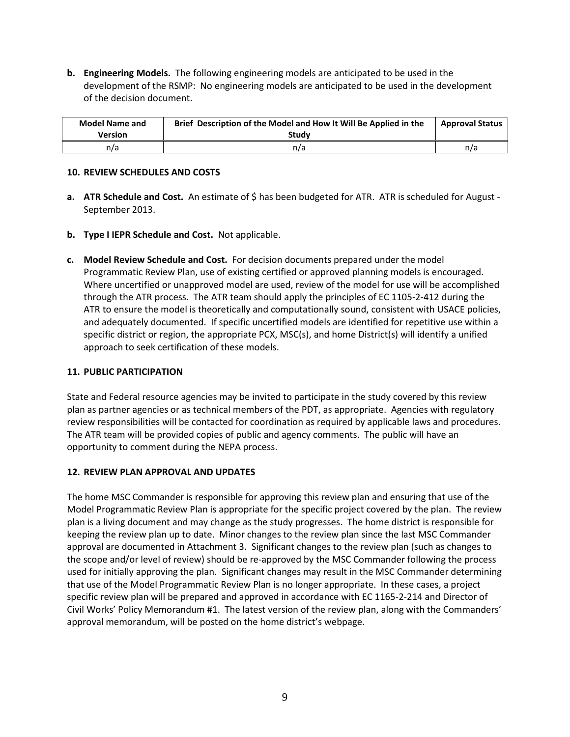**b. Engineering Models.** The following engineering models are anticipated to be used in the development of the RSMP: No engineering models are anticipated to be used in the development of the decision document.

| <b>Model Name and</b><br>Version | Brief Description of the Model and How It Will Be Applied in the<br>Study | <b>Approval Status</b> |
|----------------------------------|---------------------------------------------------------------------------|------------------------|
| n/a                              | n/a                                                                       | n/a                    |

### <span id="page-10-0"></span>**10. REVIEW SCHEDULES AND COSTS**

- **a. ATR Schedule and Cost.** An estimate of \$ has been budgeted for ATR. ATR is scheduled for August -September 2013.
- **b. Type I IEPR Schedule and Cost.** Not applicable.
- **c. Model Review Schedule and Cost.** For decision documents prepared under the model Programmatic Review Plan, use of existing certified or approved planning models is encouraged. Where uncertified or unapproved model are used, review of the model for use will be accomplished through the ATR process. The ATR team should apply the principles of EC 1105-2-412 during the ATR to ensure the model is theoretically and computationally sound, consistent with USACE policies, and adequately documented. If specific uncertified models are identified for repetitive use within a specific district or region, the appropriate PCX, MSC(s), and home District(s) will identify a unified approach to seek certification of these models.

### <span id="page-10-1"></span>**11. PUBLIC PARTICIPATION**

State and Federal resource agencies may be invited to participate in the study covered by this review plan as partner agencies or as technical members of the PDT, as appropriate. Agencies with regulatory review responsibilities will be contacted for coordination as required by applicable laws and procedures. The ATR team will be provided copies of public and agency comments. The public will have an opportunity to comment during the NEPA process.

### <span id="page-10-2"></span>**12. REVIEW PLAN APPROVAL AND UPDATES**

The home MSC Commander is responsible for approving this review plan and ensuring that use of the Model Programmatic Review Plan is appropriate for the specific project covered by the plan. The review plan is a living document and may change as the study progresses. The home district is responsible for keeping the review plan up to date. Minor changes to the review plan since the last MSC Commander approval are documented in Attachment 3. Significant changes to the review plan (such as changes to the scope and/or level of review) should be re-approved by the MSC Commander following the process used for initially approving the plan. Significant changes may result in the MSC Commander determining that use of the Model Programmatic Review Plan is no longer appropriate. In these cases, a project specific review plan will be prepared and approved in accordance with EC 1165-2-214 and Director of Civil Works' Policy Memorandum #1. The latest version of the review plan, along with the Commanders' approval memorandum, will be posted on the home district's webpage.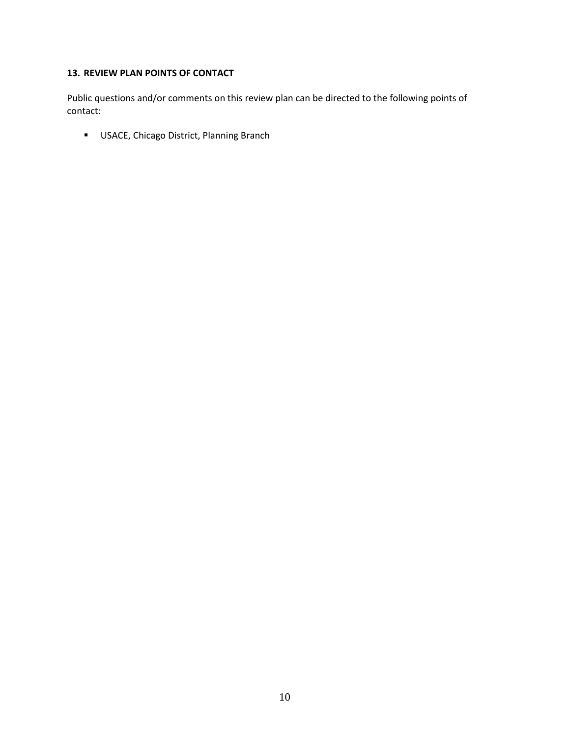# <span id="page-11-0"></span>**13. REVIEW PLAN POINTS OF CONTACT**

Public questions and/or comments on this review plan can be directed to the following points of contact:

**USACE, Chicago District, Planning Branch**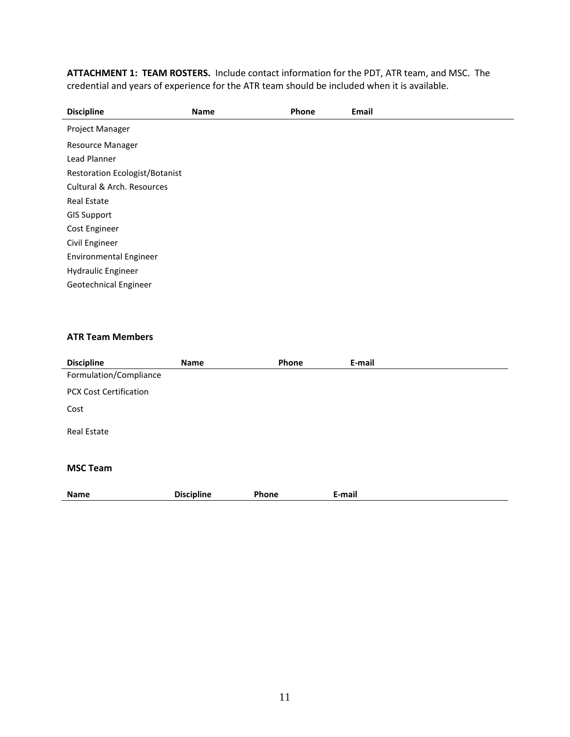<span id="page-12-0"></span>**ATTACHMENT 1: TEAM ROSTERS.** Include contact information for the PDT, ATR team, and MSC. The credential and years of experience for the ATR team should be included when it is available.

| <b>Discipline</b>                     | <b>Name</b> | Phone | Email |
|---------------------------------------|-------------|-------|-------|
| Project Manager                       |             |       |       |
| <b>Resource Manager</b>               |             |       |       |
| Lead Planner                          |             |       |       |
| <b>Restoration Ecologist/Botanist</b> |             |       |       |
| Cultural & Arch. Resources            |             |       |       |
| <b>Real Estate</b>                    |             |       |       |
| <b>GIS Support</b>                    |             |       |       |
| Cost Engineer                         |             |       |       |
| Civil Engineer                        |             |       |       |
| <b>Environmental Engineer</b>         |             |       |       |
| Hydraulic Engineer                    |             |       |       |
| Geotechnical Engineer                 |             |       |       |
|                                       |             |       |       |

#### **ATR Team Members**

| <b>Discipline</b>             | Name              | Phone | E-mail |  |  |  |
|-------------------------------|-------------------|-------|--------|--|--|--|
| Formulation/Compliance        |                   |       |        |  |  |  |
| <b>PCX Cost Certification</b> |                   |       |        |  |  |  |
| Cost                          |                   |       |        |  |  |  |
| <b>Real Estate</b>            |                   |       |        |  |  |  |
| <b>MSC Team</b>               |                   |       |        |  |  |  |
| <b>Name</b>                   | <b>Discipline</b> | Phone | E-mail |  |  |  |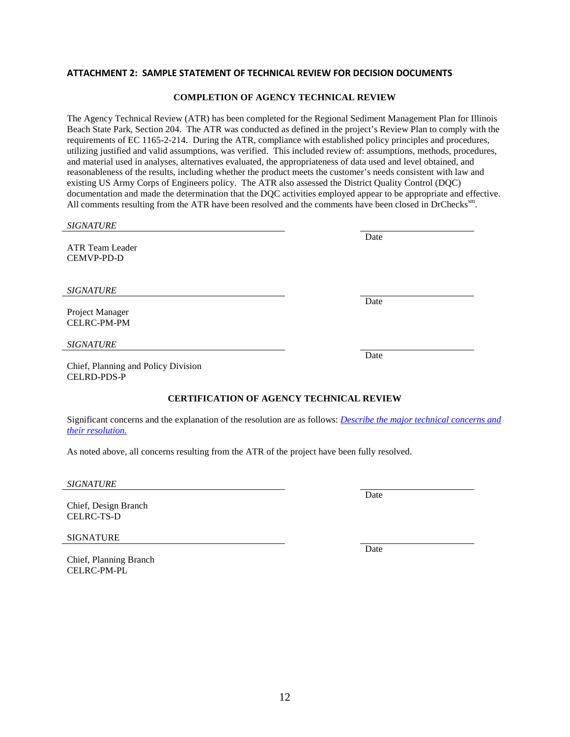#### <span id="page-13-0"></span>**ATTACHMENT 2: SAMPLE STATEMENT OF TECHNICAL REVIEW FOR DECISION DOCUMENTS**

#### **COMPLETION OF AGENCY TECHNICAL REVIEW**

The Agency Technical Review (ATR) has been completed for the Regional Sediment Management Plan for Illinois Beach State Park, Section 204. The ATR was conducted as defined in the project's Review Plan to comply with the requirements of EC 1165-2-214. During the ATR, compliance with established policy principles and procedures, utilizing justified and valid assumptions, was verified. This included review of: assumptions, methods, procedures, and material used in analyses, alternatives evaluated, the appropriateness of data used and level obtained, and reasonableness of the results, including whether the product meets the customer's needs consistent with law and existing US Army Corps of Engineers policy. The ATR also assessed the District Quality Control (DQC) documentation and made the determination that the DQC activities employed appear to be appropriate and effective. All comments resulting from the ATR have been resolved and the comments have been closed in DrChecks<sup>sm</sup>.

| <b>SIGNATURE</b>                                                                                                                                 |      |  |  |  |
|--------------------------------------------------------------------------------------------------------------------------------------------------|------|--|--|--|
| ATR Team Leader<br><b>CEMVP-PD-D</b>                                                                                                             | Date |  |  |  |
| <b>SIGNATURE</b>                                                                                                                                 |      |  |  |  |
| Project Manager<br><b>CELRC-PM-PM</b>                                                                                                            | Date |  |  |  |
| <b>SIGNATURE</b>                                                                                                                                 |      |  |  |  |
| Chief, Planning and Policy Division<br><b>CELRD-PDS-P</b>                                                                                        | Date |  |  |  |
| <b>CERTIFICATION OF AGENCY TECHNICAL REVIEW</b>                                                                                                  |      |  |  |  |
| Significant concerns and the explanation of the resolution are as follows: <i>Describe the major technical concerns and</i><br>their resolution. |      |  |  |  |
| As noted above, all concerns resulting from the ATR of the project have been fully resolved.                                                     |      |  |  |  |
|                                                                                                                                                  |      |  |  |  |

*SIGNATURE*

Chief, Design Branch CELRC-TS-D

SIGNATURE

Chief, Planning Branch CELRC-PM-PL

12

Date

Date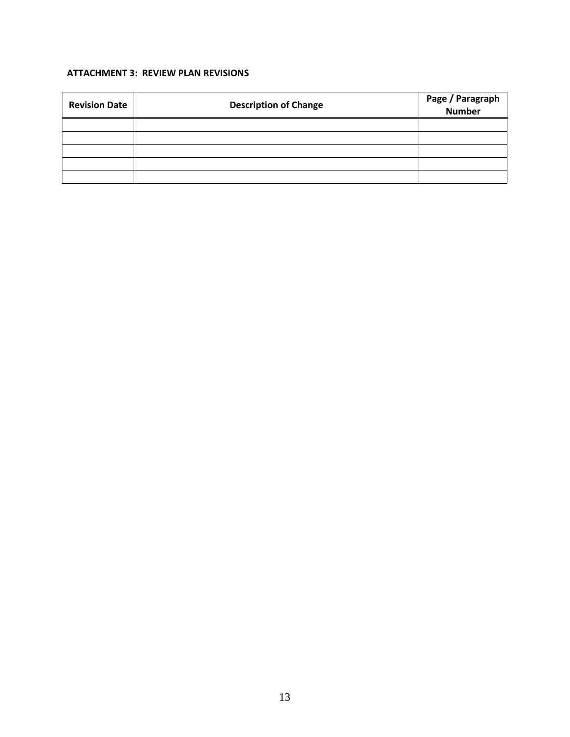## <span id="page-14-0"></span>**ATTACHMENT 3: REVIEW PLAN REVISIONS**

| <b>Revision Date</b> | <b>Description of Change</b> | Page / Paragraph<br>Number |
|----------------------|------------------------------|----------------------------|
|                      |                              |                            |
|                      |                              |                            |
|                      |                              |                            |
|                      |                              |                            |
|                      |                              |                            |